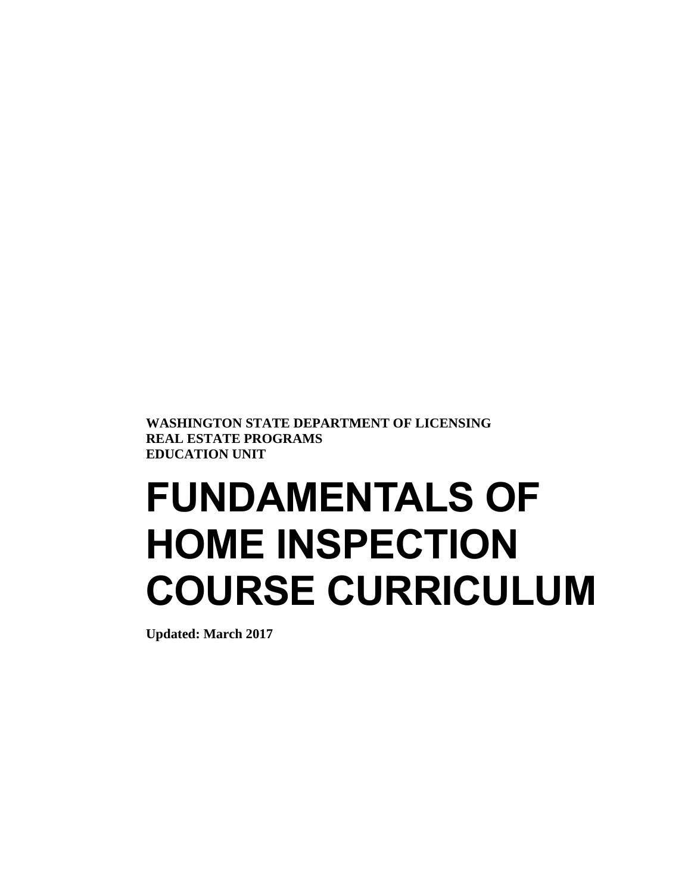**WASHINGTON STATE DEPARTMENT OF LICENSING REAL ESTATE PROGRAMS EDUCATION UNIT**

# **FUNDAMENTALS OF HOME INSPECTION COURSE CURRICULUM**

**Updated: March 2017**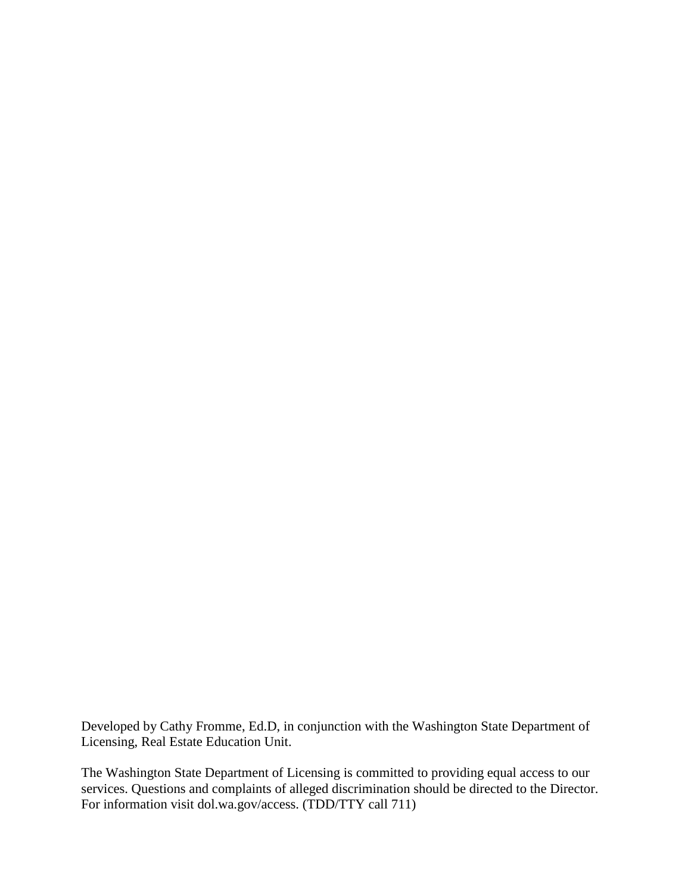Developed by Cathy Fromme, Ed.D, in conjunction with the Washington State Department of Licensing, Real Estate Education Unit.

The Washington State Department of Licensing is committed to providing equal access to our services. Questions and complaints of alleged discrimination should be directed to the Director. For information visit dol.wa.gov/access. (TDD/TTY call 711)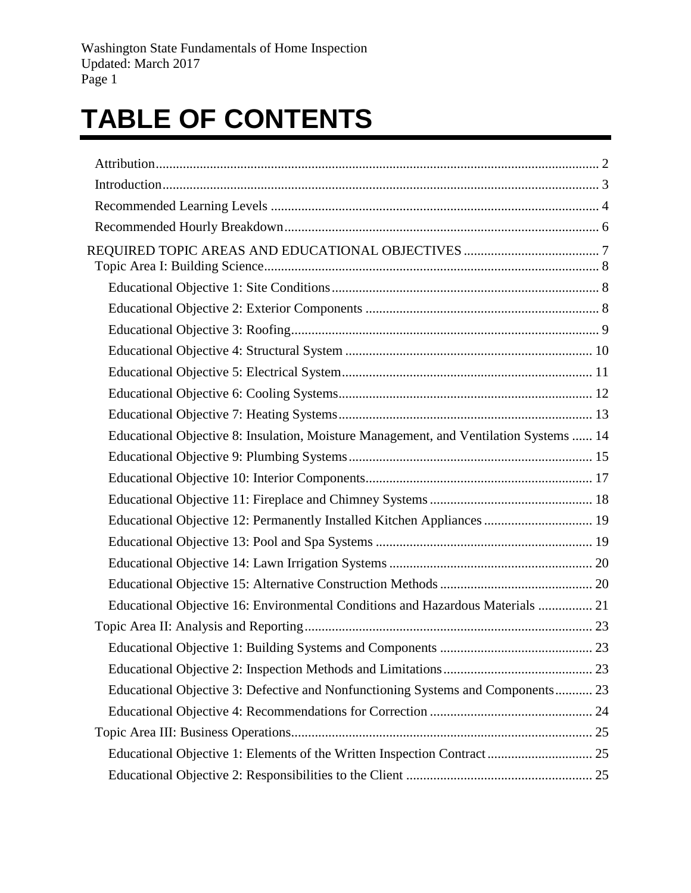# **TABLE OF CONTENTS**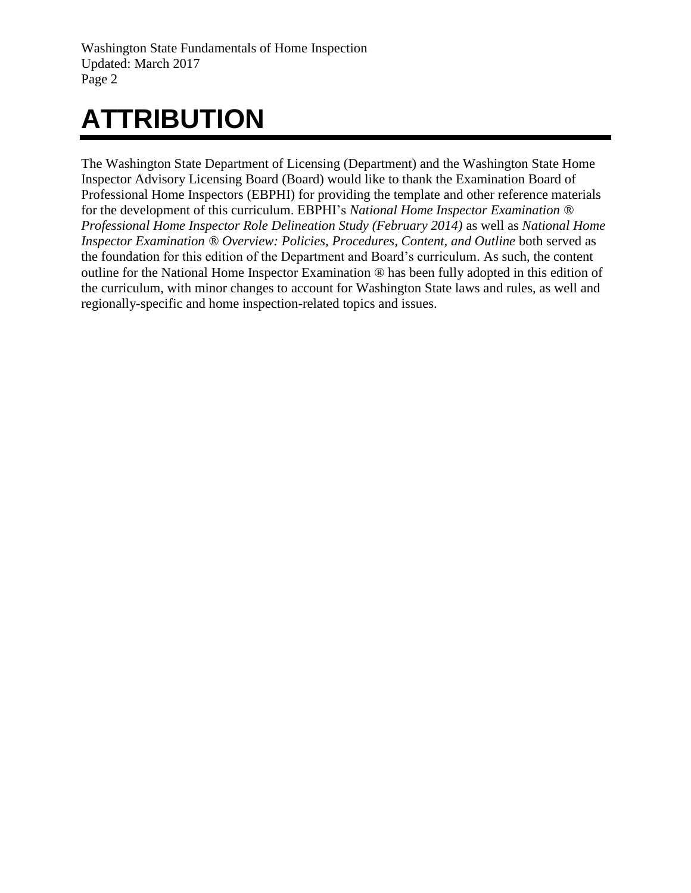# <span id="page-3-0"></span>**ATTRIBUTION**

The Washington State Department of Licensing (Department) and the Washington State Home Inspector Advisory Licensing Board (Board) would like to thank the Examination Board of Professional Home Inspectors (EBPHI) for providing the template and other reference materials for the development of this curriculum. EBPHI's *National Home Inspector Examination ® Professional Home Inspector Role Delineation Study (February 2014)* as well as *National Home Inspector Examination ® Overview: Policies, Procedures, Content, and Outline* both served as the foundation for this edition of the Department and Board's curriculum. As such, the content outline for the National Home Inspector Examination ® has been fully adopted in this edition of the curriculum, with minor changes to account for Washington State laws and rules, as well and regionally-specific and home inspection-related topics and issues.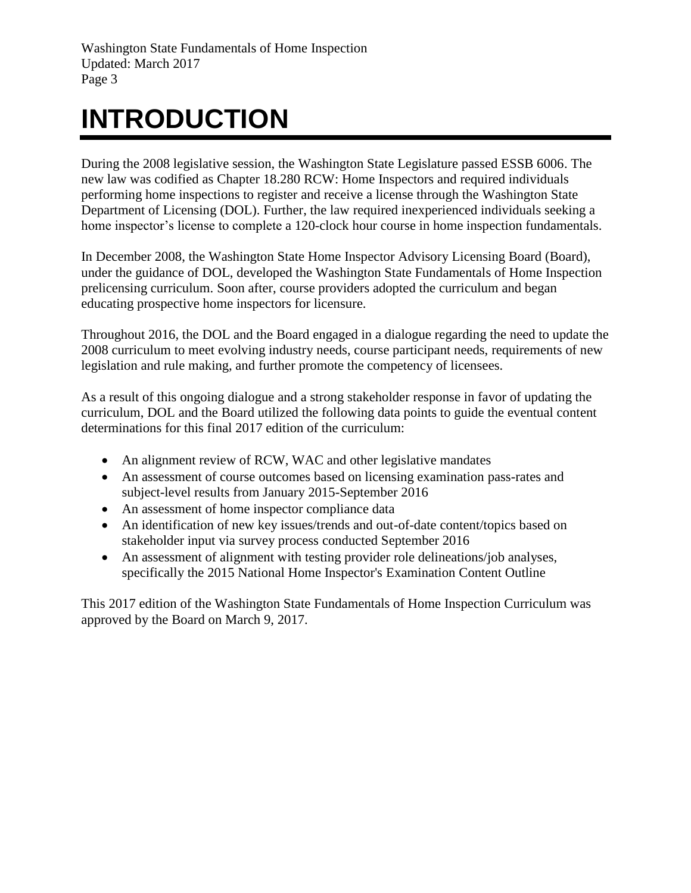# <span id="page-4-0"></span>**INTRODUCTION**

During the 2008 legislative session, the Washington State Legislature passed ESSB 6006. The new law was codified as Chapter 18.280 RCW: Home Inspectors and required individuals performing home inspections to register and receive a license through the Washington State Department of Licensing (DOL). Further, the law required inexperienced individuals seeking a home inspector's license to complete a 120-clock hour course in home inspection fundamentals.

In December 2008, the Washington State Home Inspector Advisory Licensing Board (Board), under the guidance of DOL, developed the Washington State Fundamentals of Home Inspection prelicensing curriculum. Soon after, course providers adopted the curriculum and began educating prospective home inspectors for licensure.

Throughout 2016, the DOL and the Board engaged in a dialogue regarding the need to update the 2008 curriculum to meet evolving industry needs, course participant needs, requirements of new legislation and rule making, and further promote the competency of licensees.

As a result of this ongoing dialogue and a strong stakeholder response in favor of updating the curriculum, DOL and the Board utilized the following data points to guide the eventual content determinations for this final 2017 edition of the curriculum:

- An alignment review of RCW, WAC and other legislative mandates
- An assessment of course outcomes based on licensing examination pass-rates and subject-level results from January 2015-September 2016
- An assessment of home inspector compliance data
- An identification of new key issues/trends and out-of-date content/topics based on stakeholder input via survey process conducted September 2016
- An assessment of alignment with testing provider role delineations/job analyses, specifically the 2015 National Home Inspector's Examination Content Outline

This 2017 edition of the Washington State Fundamentals of Home Inspection Curriculum was approved by the Board on March 9, 2017.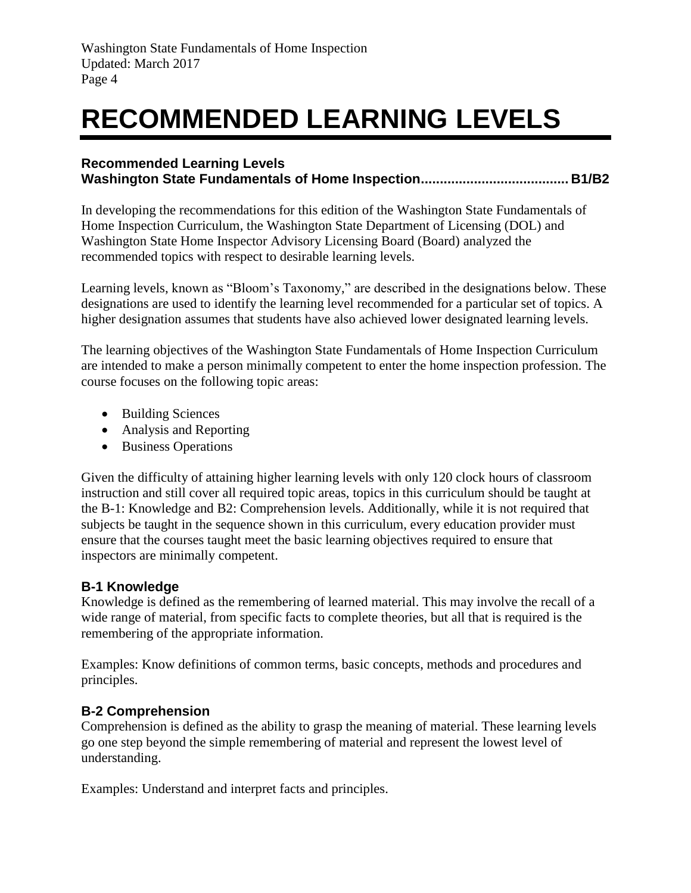# <span id="page-5-0"></span>**RECOMMENDED LEARNING LEVELS**

#### **Recommended Learning Levels Washington State Fundamentals of Home Inspection....................................... B1/B2**

In developing the recommendations for this edition of the Washington State Fundamentals of Home Inspection Curriculum, the Washington State Department of Licensing (DOL) and Washington State Home Inspector Advisory Licensing Board (Board) analyzed the recommended topics with respect to desirable learning levels.

Learning levels, known as "Bloom's Taxonomy," are described in the designations below. These designations are used to identify the learning level recommended for a particular set of topics. A higher designation assumes that students have also achieved lower designated learning levels.

The learning objectives of the Washington State Fundamentals of Home Inspection Curriculum are intended to make a person minimally competent to enter the home inspection profession. The course focuses on the following topic areas:

- Building Sciences
- Analysis and Reporting
- Business Operations

Given the difficulty of attaining higher learning levels with only 120 clock hours of classroom instruction and still cover all required topic areas, topics in this curriculum should be taught at the B-1: Knowledge and B2: Comprehension levels. Additionally, while it is not required that subjects be taught in the sequence shown in this curriculum, every education provider must ensure that the courses taught meet the basic learning objectives required to ensure that inspectors are minimally competent.

# **B-1 Knowledge**

Knowledge is defined as the remembering of learned material. This may involve the recall of a wide range of material, from specific facts to complete theories, but all that is required is the remembering of the appropriate information.

Examples: Know definitions of common terms, basic concepts, methods and procedures and principles.

# **B-2 Comprehension**

Comprehension is defined as the ability to grasp the meaning of material. These learning levels go one step beyond the simple remembering of material and represent the lowest level of understanding.

Examples: Understand and interpret facts and principles.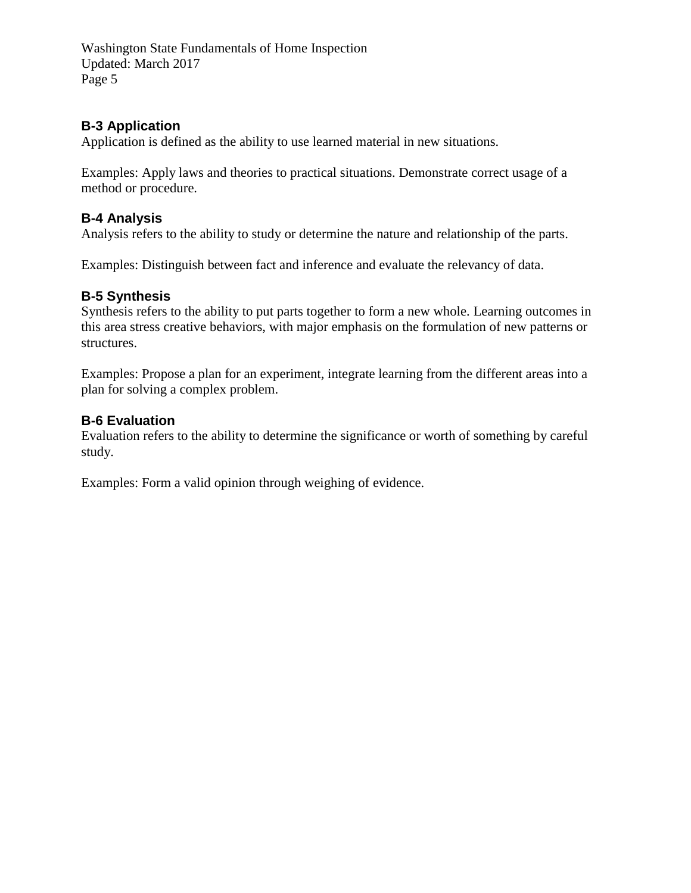#### **B-3 Application**

Application is defined as the ability to use learned material in new situations.

Examples: Apply laws and theories to practical situations. Demonstrate correct usage of a method or procedure.

#### **B-4 Analysis**

Analysis refers to the ability to study or determine the nature and relationship of the parts.

Examples: Distinguish between fact and inference and evaluate the relevancy of data.

#### **B-5 Synthesis**

Synthesis refers to the ability to put parts together to form a new whole. Learning outcomes in this area stress creative behaviors, with major emphasis on the formulation of new patterns or structures.

Examples: Propose a plan for an experiment, integrate learning from the different areas into a plan for solving a complex problem.

#### **B-6 Evaluation**

Evaluation refers to the ability to determine the significance or worth of something by careful study.

Examples: Form a valid opinion through weighing of evidence.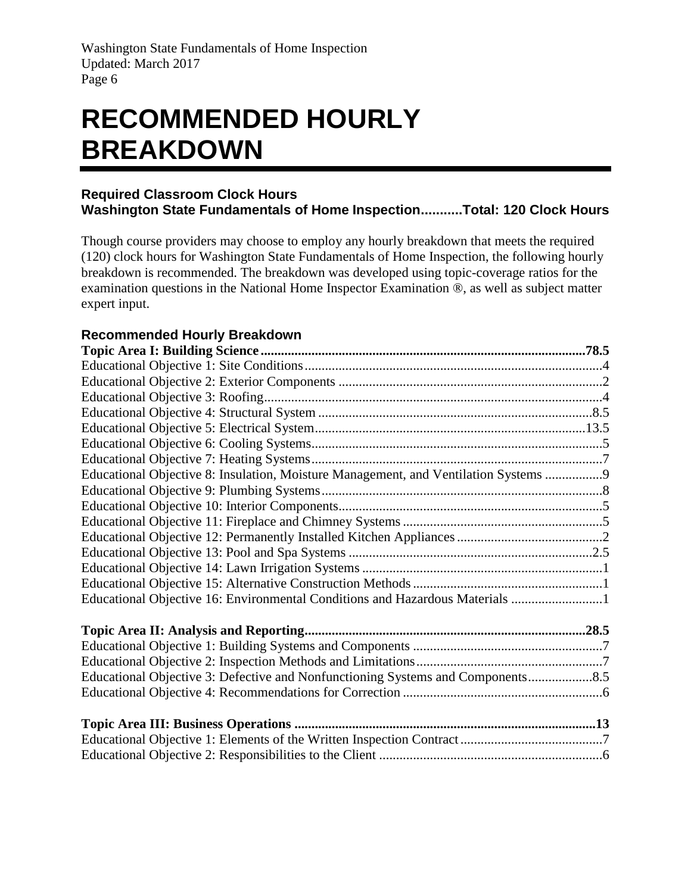# <span id="page-7-0"></span>**RECOMMENDED HOURLY BREAKDOWN**

#### **Required Classroom Clock Hours Washington State Fundamentals of Home Inspection...........Total: 120 Clock Hours**

Though course providers may choose to employ any hourly breakdown that meets the required (120) clock hours for Washington State Fundamentals of Home Inspection, the following hourly breakdown is recommended. The breakdown was developed using topic-coverage ratios for the examination questions in the National Home Inspector Examination ®, as well as subject matter expert input.

# **Recommended Hourly Breakdown**

| Educational Objective 8: Insulation, Moisture Management, and Ventilation Systems 9 |  |
|-------------------------------------------------------------------------------------|--|
|                                                                                     |  |
|                                                                                     |  |
|                                                                                     |  |
|                                                                                     |  |
|                                                                                     |  |
|                                                                                     |  |
|                                                                                     |  |
| Educational Objective 16: Environmental Conditions and Hazardous Materials 1        |  |
|                                                                                     |  |
|                                                                                     |  |
|                                                                                     |  |
| Educational Objective 3: Defective and Nonfunctioning Systems and Components        |  |
|                                                                                     |  |
|                                                                                     |  |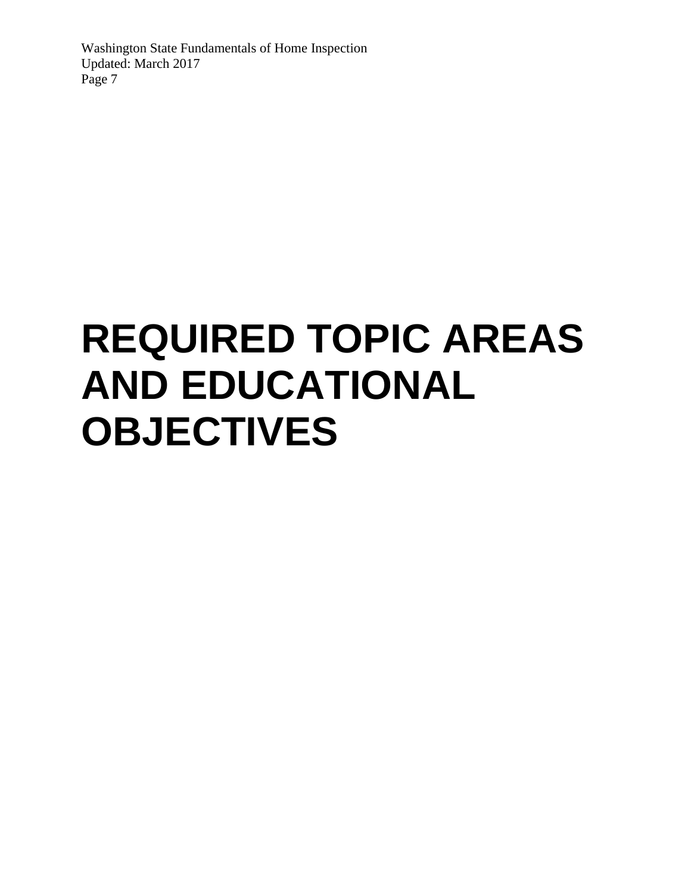# <span id="page-8-0"></span>**REQUIRED TOPIC AREAS AND EDUCATIONAL OBJECTIVES**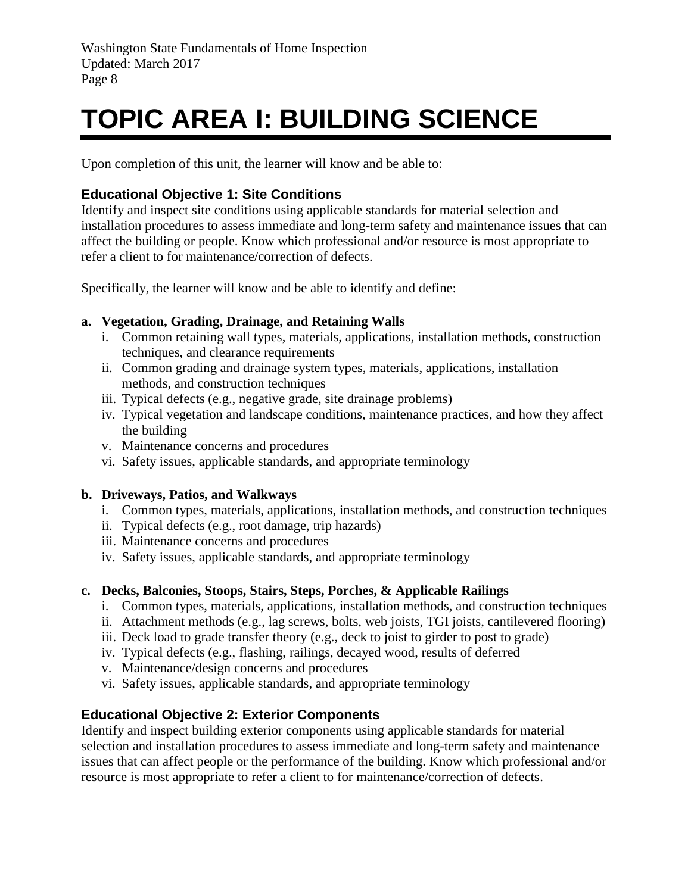# <span id="page-9-0"></span>**TOPIC AREA I: BUILDING SCIENCE**

Upon completion of this unit, the learner will know and be able to:

# <span id="page-9-1"></span>**Educational Objective 1: Site Conditions**

Identify and inspect site conditions using applicable standards for material selection and installation procedures to assess immediate and long-term safety and maintenance issues that can affect the building or people. Know which professional and/or resource is most appropriate to refer a client to for maintenance/correction of defects.

Specifically, the learner will know and be able to identify and define:

#### **a. Vegetation, Grading, Drainage, and Retaining Walls**

- i. Common retaining wall types, materials, applications, installation methods, construction techniques, and clearance requirements
- ii. Common grading and drainage system types, materials, applications, installation methods, and construction techniques
- iii. Typical defects (e.g., negative grade, site drainage problems)
- iv. Typical vegetation and landscape conditions, maintenance practices, and how they affect the building
- v. Maintenance concerns and procedures
- vi. Safety issues, applicable standards, and appropriate terminology

#### **b. Driveways, Patios, and Walkways**

- i. Common types, materials, applications, installation methods, and construction techniques
- ii. Typical defects (e.g., root damage, trip hazards)
- iii. Maintenance concerns and procedures
- iv. Safety issues, applicable standards, and appropriate terminology

#### **c. Decks, Balconies, Stoops, Stairs, Steps, Porches, & Applicable Railings**

- i. Common types, materials, applications, installation methods, and construction techniques
- ii. Attachment methods (e.g., lag screws, bolts, web joists, TGI joists, cantilevered flooring)
- iii. Deck load to grade transfer theory (e.g., deck to joist to girder to post to grade)
- iv. Typical defects (e.g., flashing, railings, decayed wood, results of deferred
- v. Maintenance/design concerns and procedures
- vi. Safety issues, applicable standards, and appropriate terminology

# <span id="page-9-2"></span>**Educational Objective 2: Exterior Components**

Identify and inspect building exterior components using applicable standards for material selection and installation procedures to assess immediate and long-term safety and maintenance issues that can affect people or the performance of the building. Know which professional and/or resource is most appropriate to refer a client to for maintenance/correction of defects.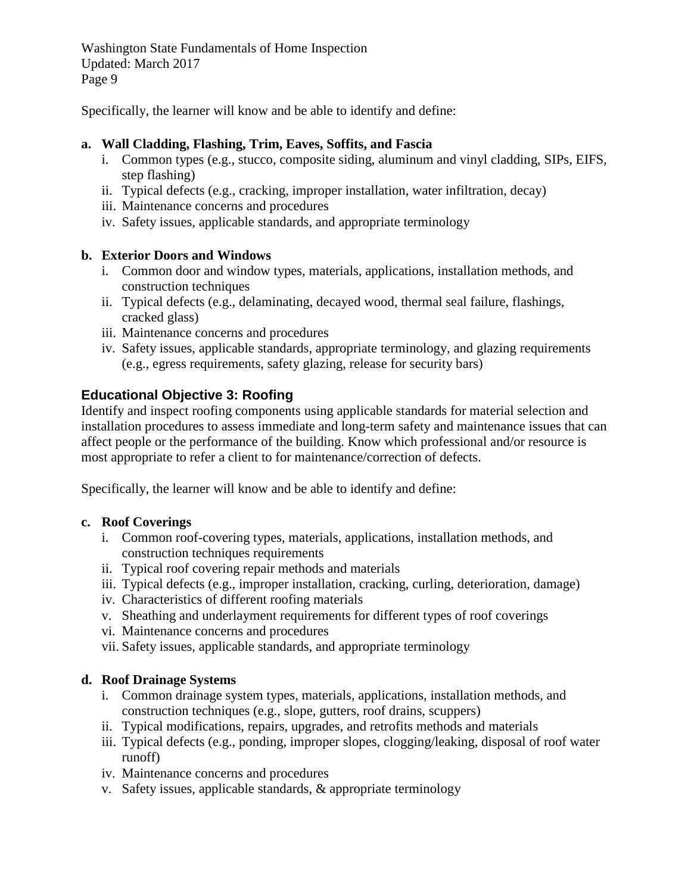Specifically, the learner will know and be able to identify and define:

#### **a. Wall Cladding, Flashing, Trim, Eaves, Soffits, and Fascia**

- i. Common types (e.g., stucco, composite siding, aluminum and vinyl cladding, SIPs, EIFS, step flashing)
- ii. Typical defects (e.g., cracking, improper installation, water infiltration, decay)
- iii. Maintenance concerns and procedures
- iv. Safety issues, applicable standards, and appropriate terminology

#### **b. Exterior Doors and Windows**

- i. Common door and window types, materials, applications, installation methods, and construction techniques
- ii. Typical defects (e.g., delaminating, decayed wood, thermal seal failure, flashings, cracked glass)
- iii. Maintenance concerns and procedures
- iv. Safety issues, applicable standards, appropriate terminology, and glazing requirements (e.g., egress requirements, safety glazing, release for security bars)

#### <span id="page-10-0"></span>**Educational Objective 3: Roofing**

Identify and inspect roofing components using applicable standards for material selection and installation procedures to assess immediate and long-term safety and maintenance issues that can affect people or the performance of the building. Know which professional and/or resource is most appropriate to refer a client to for maintenance/correction of defects.

Specifically, the learner will know and be able to identify and define:

#### **c. Roof Coverings**

- i. Common roof-covering types, materials, applications, installation methods, and construction techniques requirements
- ii. Typical roof covering repair methods and materials
- iii. Typical defects (e.g., improper installation, cracking, curling, deterioration, damage)
- iv. Characteristics of different roofing materials
- v. Sheathing and underlayment requirements for different types of roof coverings
- vi. Maintenance concerns and procedures
- vii. Safety issues, applicable standards, and appropriate terminology

#### **d. Roof Drainage Systems**

- i. Common drainage system types, materials, applications, installation methods, and construction techniques (e.g., slope, gutters, roof drains, scuppers)
- ii. Typical modifications, repairs, upgrades, and retrofits methods and materials
- iii. Typical defects (e.g., ponding, improper slopes, clogging/leaking, disposal of roof water runoff)
- iv. Maintenance concerns and procedures
- v. Safety issues, applicable standards, & appropriate terminology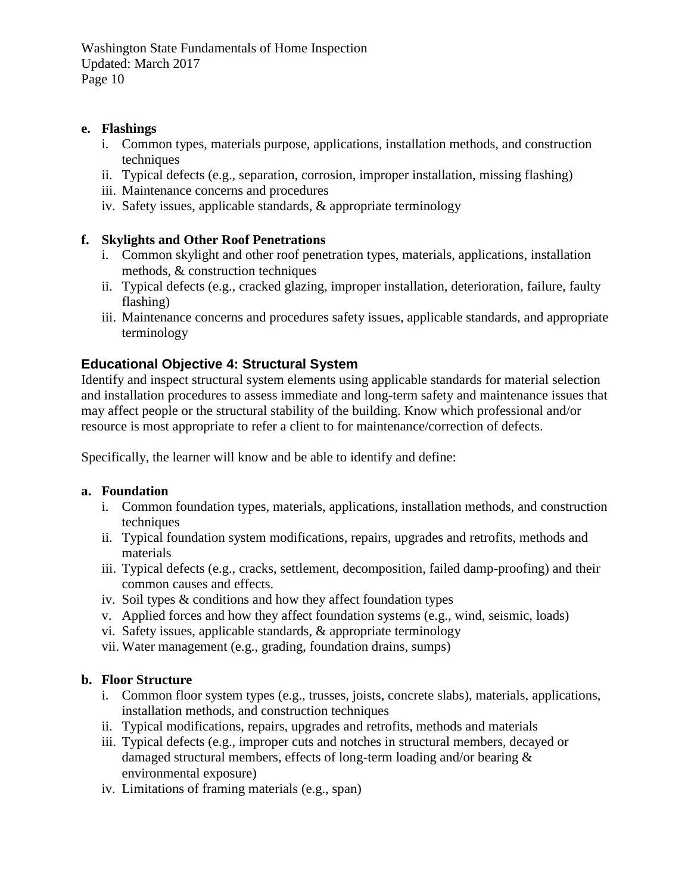#### **e. Flashings**

- i. Common types, materials purpose, applications, installation methods, and construction techniques
- ii. Typical defects (e.g., separation, corrosion, improper installation, missing flashing)
- iii. Maintenance concerns and procedures
- iv. Safety issues, applicable standards, & appropriate terminology

#### **f. Skylights and Other Roof Penetrations**

- i. Common skylight and other roof penetration types, materials, applications, installation methods, & construction techniques
- ii. Typical defects (e.g., cracked glazing, improper installation, deterioration, failure, faulty flashing)
- iii. Maintenance concerns and procedures safety issues, applicable standards, and appropriate terminology

## <span id="page-11-0"></span>**Educational Objective 4: Structural System**

Identify and inspect structural system elements using applicable standards for material selection and installation procedures to assess immediate and long-term safety and maintenance issues that may affect people or the structural stability of the building. Know which professional and/or resource is most appropriate to refer a client to for maintenance/correction of defects.

Specifically, the learner will know and be able to identify and define:

#### **a. Foundation**

- i. Common foundation types, materials, applications, installation methods, and construction techniques
- ii. Typical foundation system modifications, repairs, upgrades and retrofits, methods and materials
- iii. Typical defects (e.g., cracks, settlement, decomposition, failed damp-proofing) and their common causes and effects.
- iv. Soil types & conditions and how they affect foundation types
- v. Applied forces and how they affect foundation systems (e.g., wind, seismic, loads)
- vi. Safety issues, applicable standards, & appropriate terminology
- vii. Water management (e.g., grading, foundation drains, sumps)

#### **b. Floor Structure**

- i. Common floor system types (e.g., trusses, joists, concrete slabs), materials, applications, installation methods, and construction techniques
- ii. Typical modifications, repairs, upgrades and retrofits, methods and materials
- iii. Typical defects (e.g., improper cuts and notches in structural members, decayed or damaged structural members, effects of long-term loading and/or bearing & environmental exposure)
- iv. Limitations of framing materials (e.g., span)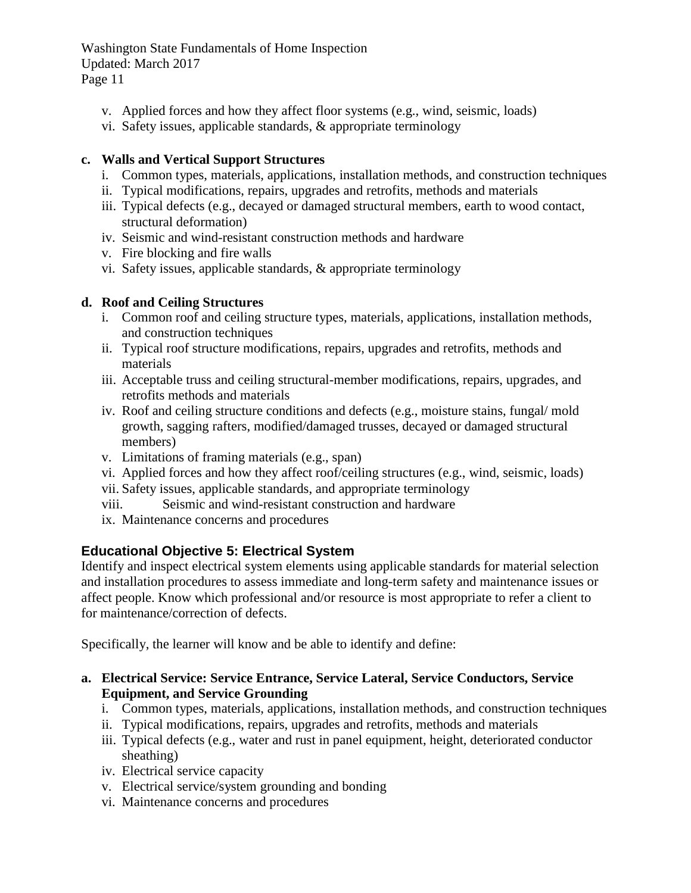- v. Applied forces and how they affect floor systems (e.g., wind, seismic, loads)
- vi. Safety issues, applicable standards, & appropriate terminology

#### **c. Walls and Vertical Support Structures**

- i. Common types, materials, applications, installation methods, and construction techniques
- ii. Typical modifications, repairs, upgrades and retrofits, methods and materials
- iii. Typical defects (e.g., decayed or damaged structural members, earth to wood contact, structural deformation)
- iv. Seismic and wind-resistant construction methods and hardware
- v. Fire blocking and fire walls
- vi. Safety issues, applicable standards, & appropriate terminology

#### **d. Roof and Ceiling Structures**

- i. Common roof and ceiling structure types, materials, applications, installation methods, and construction techniques
- ii. Typical roof structure modifications, repairs, upgrades and retrofits, methods and materials
- iii. Acceptable truss and ceiling structural-member modifications, repairs, upgrades, and retrofits methods and materials
- iv. Roof and ceiling structure conditions and defects (e.g., moisture stains, fungal/ mold growth, sagging rafters, modified/damaged trusses, decayed or damaged structural members)
- v. Limitations of framing materials (e.g., span)
- vi. Applied forces and how they affect roof/ceiling structures (e.g., wind, seismic, loads)
- vii. Safety issues, applicable standards, and appropriate terminology
- viii. Seismic and wind-resistant construction and hardware
- ix. Maintenance concerns and procedures

#### <span id="page-12-0"></span>**Educational Objective 5: Electrical System**

Identify and inspect electrical system elements using applicable standards for material selection and installation procedures to assess immediate and long-term safety and maintenance issues or affect people. Know which professional and/or resource is most appropriate to refer a client to for maintenance/correction of defects.

Specifically, the learner will know and be able to identify and define:

#### **a. Electrical Service: Service Entrance, Service Lateral, Service Conductors, Service Equipment, and Service Grounding**

- i. Common types, materials, applications, installation methods, and construction techniques
- ii. Typical modifications, repairs, upgrades and retrofits, methods and materials
- iii. Typical defects (e.g., water and rust in panel equipment, height, deteriorated conductor sheathing)
- iv. Electrical service capacity
- v. Electrical service/system grounding and bonding
- vi. Maintenance concerns and procedures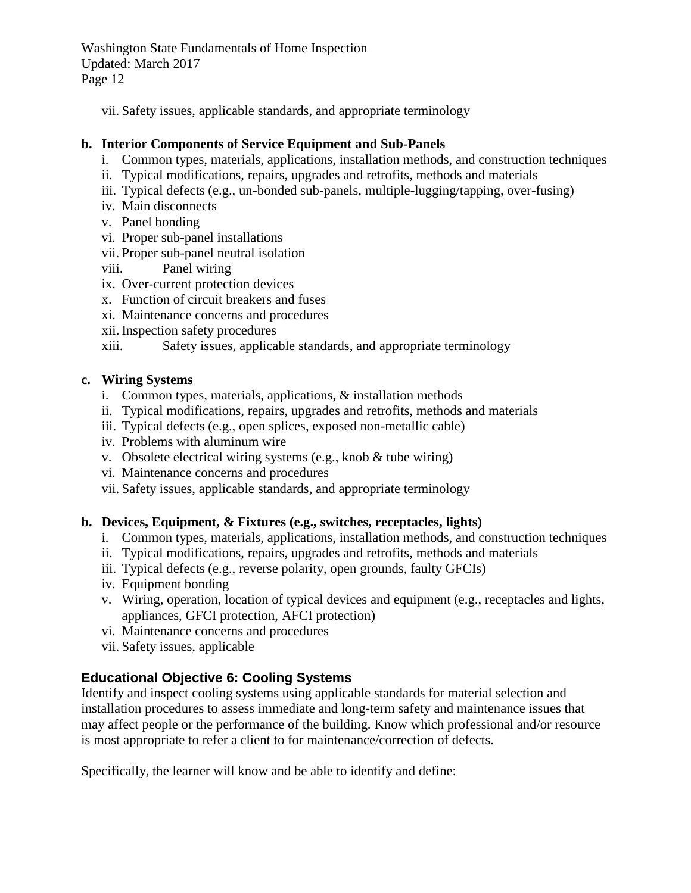vii. Safety issues, applicable standards, and appropriate terminology

## **b. Interior Components of Service Equipment and Sub-Panels**

- i. Common types, materials, applications, installation methods, and construction techniques
- ii. Typical modifications, repairs, upgrades and retrofits, methods and materials
- iii. Typical defects (e.g., un-bonded sub-panels, multiple-lugging/tapping, over-fusing)
- iv. Main disconnects
- v. Panel bonding
- vi. Proper sub-panel installations
- vii. Proper sub-panel neutral isolation
- viii. Panel wiring
- ix. Over-current protection devices
- x. Function of circuit breakers and fuses
- xi. Maintenance concerns and procedures
- xii. Inspection safety procedures

xiii. Safety issues, applicable standards, and appropriate terminology

#### **c. Wiring Systems**

- i. Common types, materials, applications, & installation methods
- ii. Typical modifications, repairs, upgrades and retrofits, methods and materials
- iii. Typical defects (e.g., open splices, exposed non-metallic cable)
- iv. Problems with aluminum wire
- v. Obsolete electrical wiring systems (e.g., knob & tube wiring)
- vi. Maintenance concerns and procedures
- vii. Safety issues, applicable standards, and appropriate terminology

# **b. Devices, Equipment, & Fixtures (e.g., switches, receptacles, lights)**

- i. Common types, materials, applications, installation methods, and construction techniques
- ii. Typical modifications, repairs, upgrades and retrofits, methods and materials
- iii. Typical defects (e.g., reverse polarity, open grounds, faulty GFCIs)
- iv. Equipment bonding
- v. Wiring, operation, location of typical devices and equipment (e.g., receptacles and lights, appliances, GFCI protection, AFCI protection)
- vi. Maintenance concerns and procedures
- vii. Safety issues, applicable

# <span id="page-13-0"></span>**Educational Objective 6: Cooling Systems**

Identify and inspect cooling systems using applicable standards for material selection and installation procedures to assess immediate and long-term safety and maintenance issues that may affect people or the performance of the building. Know which professional and/or resource is most appropriate to refer a client to for maintenance/correction of defects.

Specifically, the learner will know and be able to identify and define: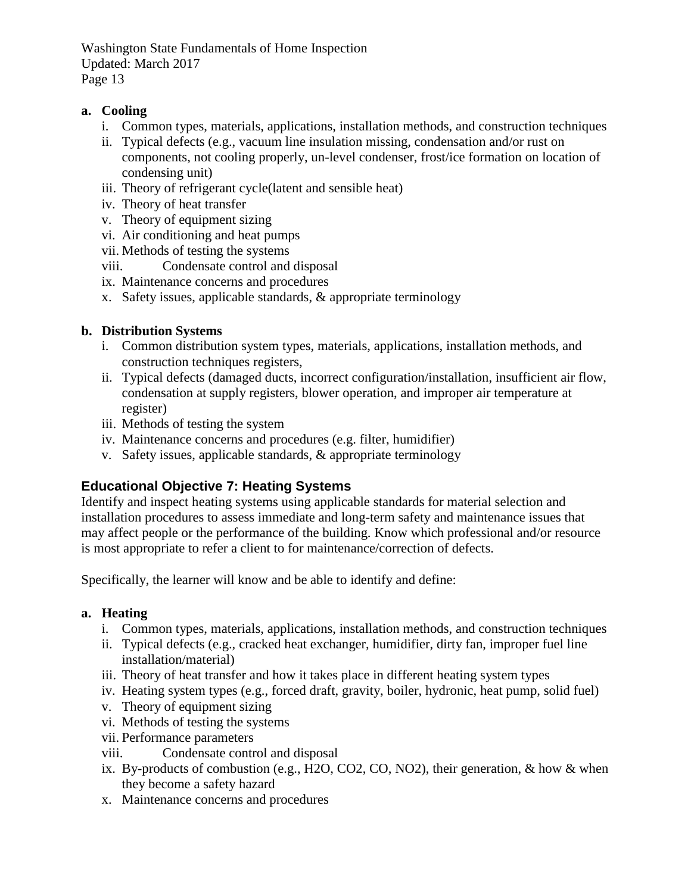#### **a. Cooling**

- i. Common types, materials, applications, installation methods, and construction techniques
- ii. Typical defects (e.g., vacuum line insulation missing, condensation and/or rust on components, not cooling properly, un-level condenser, frost/ice formation on location of condensing unit)
- iii. Theory of refrigerant cycle(latent and sensible heat)
- iv. Theory of heat transfer
- v. Theory of equipment sizing
- vi. Air conditioning and heat pumps
- vii. Methods of testing the systems
- viii. Condensate control and disposal
- ix. Maintenance concerns and procedures
- x. Safety issues, applicable standards, & appropriate terminology

#### **b. Distribution Systems**

- i. Common distribution system types, materials, applications, installation methods, and construction techniques registers,
- ii. Typical defects (damaged ducts, incorrect configuration/installation, insufficient air flow, condensation at supply registers, blower operation, and improper air temperature at register)
- iii. Methods of testing the system
- iv. Maintenance concerns and procedures (e.g. filter, humidifier)
- v. Safety issues, applicable standards, & appropriate terminology

# <span id="page-14-0"></span>**Educational Objective 7: Heating Systems**

Identify and inspect heating systems using applicable standards for material selection and installation procedures to assess immediate and long-term safety and maintenance issues that may affect people or the performance of the building. Know which professional and/or resource is most appropriate to refer a client to for maintenance/correction of defects.

Specifically, the learner will know and be able to identify and define:

#### **a. Heating**

- i. Common types, materials, applications, installation methods, and construction techniques
- ii. Typical defects (e.g., cracked heat exchanger, humidifier, dirty fan, improper fuel line installation/material)
- iii. Theory of heat transfer and how it takes place in different heating system types
- iv. Heating system types (e.g., forced draft, gravity, boiler, hydronic, heat pump, solid fuel)
- v. Theory of equipment sizing
- vi. Methods of testing the systems
- vii. Performance parameters
- viii. Condensate control and disposal
- ix. By-products of combustion (e.g., H2O, CO2, CO, NO2), their generation, & how & when they become a safety hazard
- x. Maintenance concerns and procedures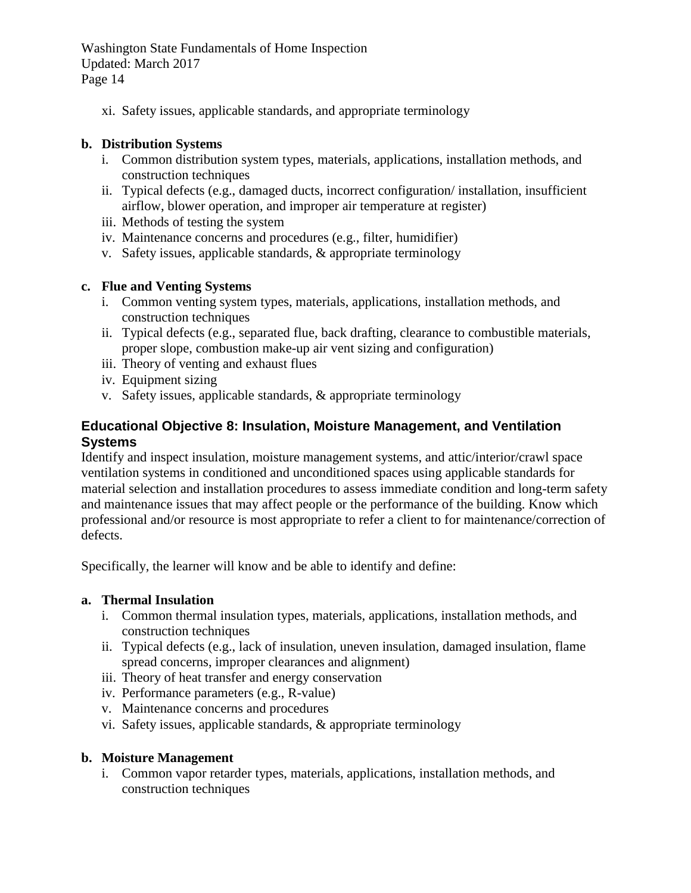xi. Safety issues, applicable standards, and appropriate terminology

#### **b. Distribution Systems**

- i. Common distribution system types, materials, applications, installation methods, and construction techniques
- ii. Typical defects (e.g., damaged ducts, incorrect configuration/ installation, insufficient airflow, blower operation, and improper air temperature at register)
- iii. Methods of testing the system
- iv. Maintenance concerns and procedures (e.g., filter, humidifier)
- v. Safety issues, applicable standards, & appropriate terminology

#### **c. Flue and Venting Systems**

- i. Common venting system types, materials, applications, installation methods, and construction techniques
- ii. Typical defects (e.g., separated flue, back drafting, clearance to combustible materials, proper slope, combustion make-up air vent sizing and configuration)
- iii. Theory of venting and exhaust flues
- iv. Equipment sizing
- v. Safety issues, applicable standards, & appropriate terminology

## <span id="page-15-0"></span>**Educational Objective 8: Insulation, Moisture Management, and Ventilation Systems**

Identify and inspect insulation, moisture management systems, and attic/interior/crawl space ventilation systems in conditioned and unconditioned spaces using applicable standards for material selection and installation procedures to assess immediate condition and long-term safety and maintenance issues that may affect people or the performance of the building. Know which professional and/or resource is most appropriate to refer a client to for maintenance/correction of defects.

Specifically, the learner will know and be able to identify and define:

#### **a. Thermal Insulation**

- i. Common thermal insulation types, materials, applications, installation methods, and construction techniques
- ii. Typical defects (e.g., lack of insulation, uneven insulation, damaged insulation, flame spread concerns, improper clearances and alignment)
- iii. Theory of heat transfer and energy conservation
- iv. Performance parameters (e.g., R-value)
- v. Maintenance concerns and procedures
- vi. Safety issues, applicable standards, & appropriate terminology

#### **b. Moisture Management**

i. Common vapor retarder types, materials, applications, installation methods, and construction techniques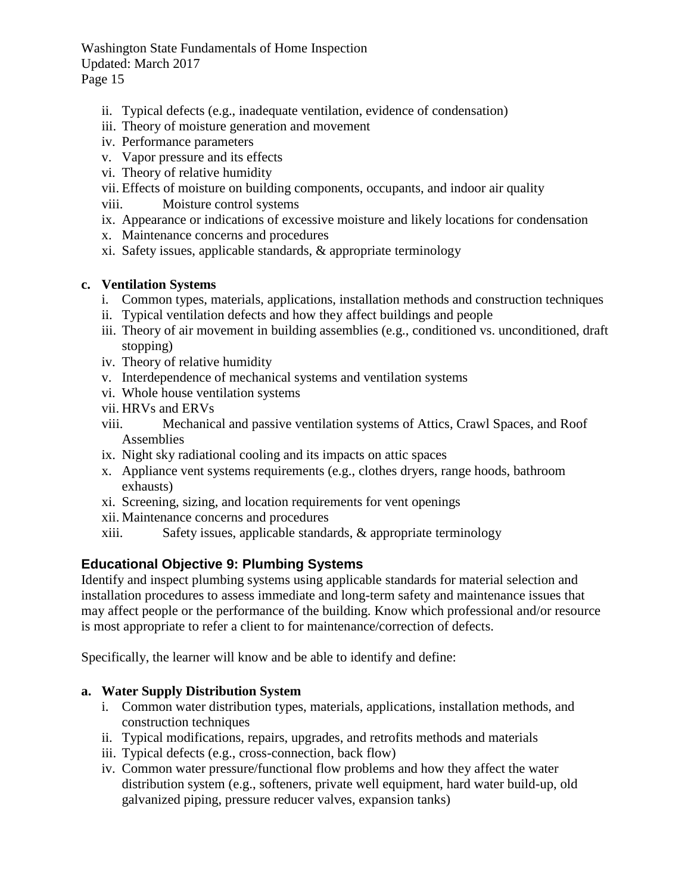- ii. Typical defects (e.g., inadequate ventilation, evidence of condensation)
- iii. Theory of moisture generation and movement
- iv. Performance parameters
- v. Vapor pressure and its effects
- vi. Theory of relative humidity
- vii. Effects of moisture on building components, occupants, and indoor air quality
- viii. Moisture control systems
- ix. Appearance or indications of excessive moisture and likely locations for condensation
- x. Maintenance concerns and procedures
- xi. Safety issues, applicable standards, & appropriate terminology

## **c. Ventilation Systems**

- i. Common types, materials, applications, installation methods and construction techniques
- ii. Typical ventilation defects and how they affect buildings and people
- iii. Theory of air movement in building assemblies (e.g., conditioned vs. unconditioned, draft stopping)
- iv. Theory of relative humidity
- v. Interdependence of mechanical systems and ventilation systems
- vi. Whole house ventilation systems
- vii. HRVs and ERVs
- viii. Mechanical and passive ventilation systems of Attics, Crawl Spaces, and Roof Assemblies
- ix. Night sky radiational cooling and its impacts on attic spaces
- x. Appliance vent systems requirements (e.g., clothes dryers, range hoods, bathroom exhausts)
- xi. Screening, sizing, and location requirements for vent openings
- xii. Maintenance concerns and procedures
- xiii. Safety issues, applicable standards, & appropriate terminology

# <span id="page-16-0"></span>**Educational Objective 9: Plumbing Systems**

Identify and inspect plumbing systems using applicable standards for material selection and installation procedures to assess immediate and long-term safety and maintenance issues that may affect people or the performance of the building. Know which professional and/or resource is most appropriate to refer a client to for maintenance/correction of defects.

Specifically, the learner will know and be able to identify and define:

# **a. Water Supply Distribution System**

- i. Common water distribution types, materials, applications, installation methods, and construction techniques
- ii. Typical modifications, repairs, upgrades, and retrofits methods and materials
- iii. Typical defects (e.g., cross-connection, back flow)
- iv. Common water pressure/functional flow problems and how they affect the water distribution system (e.g., softeners, private well equipment, hard water build-up, old galvanized piping, pressure reducer valves, expansion tanks)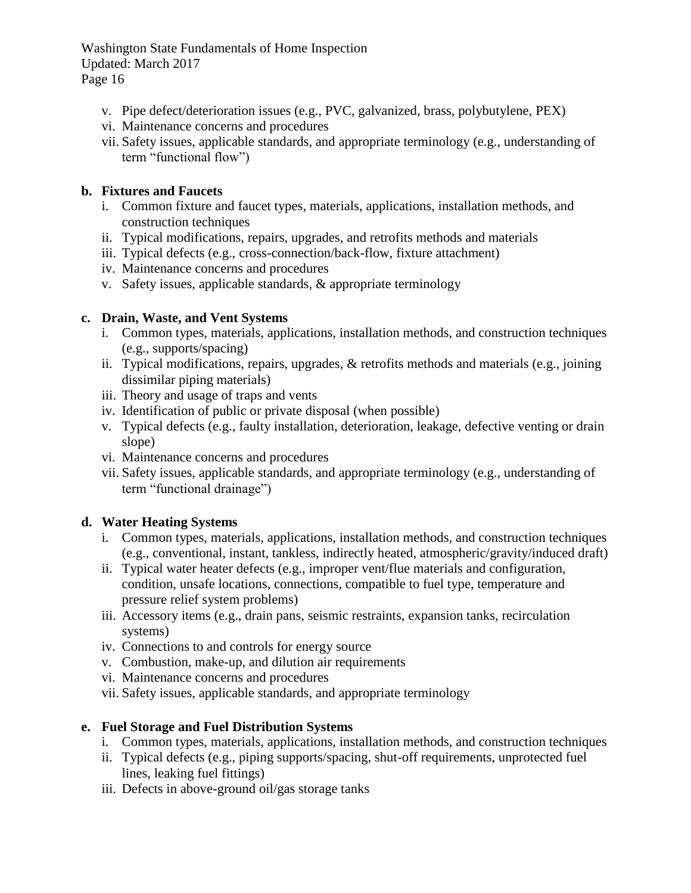- v. Pipe defect/deterioration issues (e.g., PVC, galvanized, brass, polybutylene, PEX)
- vi. Maintenance concerns and procedures
- vii. Safety issues, applicable standards, and appropriate terminology (e.g., understanding of term "functional flow")

## **b. Fixtures and Faucets**

- i. Common fixture and faucet types, materials, applications, installation methods, and construction techniques
- ii. Typical modifications, repairs, upgrades, and retrofits methods and materials
- iii. Typical defects (e.g., cross-connection/back-flow, fixture attachment)
- iv. Maintenance concerns and procedures
- v. Safety issues, applicable standards, & appropriate terminology

## **c. Drain, Waste, and Vent Systems**

- i. Common types, materials, applications, installation methods, and construction techniques (e.g., supports/spacing)
- ii. Typical modifications, repairs, upgrades, & retrofits methods and materials (e.g., joining dissimilar piping materials)
- iii. Theory and usage of traps and vents
- iv. Identification of public or private disposal (when possible)
- v. Typical defects (e.g., faulty installation, deterioration, leakage, defective venting or drain slope)
- vi. Maintenance concerns and procedures
- vii. Safety issues, applicable standards, and appropriate terminology (e.g., understanding of term "functional drainage")

# **d. Water Heating Systems**

- i. Common types, materials, applications, installation methods, and construction techniques (e.g., conventional, instant, tankless, indirectly heated, atmospheric/gravity/induced draft)
- ii. Typical water heater defects (e.g., improper vent/flue materials and configuration, condition, unsafe locations, connections, compatible to fuel type, temperature and pressure relief system problems)
- iii. Accessory items (e.g., drain pans, seismic restraints, expansion tanks, recirculation systems)
- iv. Connections to and controls for energy source
- v. Combustion, make-up, and dilution air requirements
- vi. Maintenance concerns and procedures
- vii. Safety issues, applicable standards, and appropriate terminology

# **e. Fuel Storage and Fuel Distribution Systems**

- i. Common types, materials, applications, installation methods, and construction techniques
- ii. Typical defects (e.g., piping supports/spacing, shut-off requirements, unprotected fuel lines, leaking fuel fittings)
- iii. Defects in above-ground oil/gas storage tanks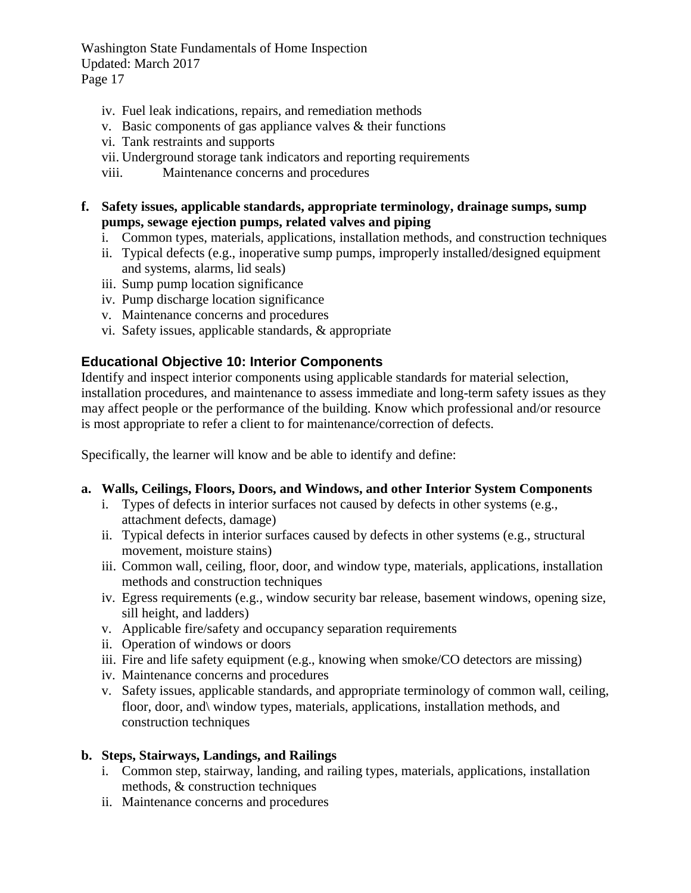- iv. Fuel leak indications, repairs, and remediation methods
- v. Basic components of gas appliance valves  $\&$  their functions
- vi. Tank restraints and supports
- vii. Underground storage tank indicators and reporting requirements
- viii. Maintenance concerns and procedures
- **f. Safety issues, applicable standards, appropriate terminology, drainage sumps, sump pumps, sewage ejection pumps, related valves and piping**
	- i. Common types, materials, applications, installation methods, and construction techniques
	- ii. Typical defects (e.g., inoperative sump pumps, improperly installed/designed equipment and systems, alarms, lid seals)
	- iii. Sump pump location significance
	- iv. Pump discharge location significance
	- v. Maintenance concerns and procedures
	- vi. Safety issues, applicable standards, & appropriate

## <span id="page-18-0"></span>**Educational Objective 10: Interior Components**

Identify and inspect interior components using applicable standards for material selection, installation procedures, and maintenance to assess immediate and long-term safety issues as they may affect people or the performance of the building. Know which professional and/or resource is most appropriate to refer a client to for maintenance/correction of defects.

Specifically, the learner will know and be able to identify and define:

#### **a. Walls, Ceilings, Floors, Doors, and Windows, and other Interior System Components**

- i. Types of defects in interior surfaces not caused by defects in other systems (e.g., attachment defects, damage)
- ii. Typical defects in interior surfaces caused by defects in other systems (e.g., structural movement, moisture stains)
- iii. Common wall, ceiling, floor, door, and window type, materials, applications, installation methods and construction techniques
- iv. Egress requirements (e.g., window security bar release, basement windows, opening size, sill height, and ladders)
- v. Applicable fire/safety and occupancy separation requirements
- ii. Operation of windows or doors
- iii. Fire and life safety equipment (e.g., knowing when smoke/CO detectors are missing)
- iv. Maintenance concerns and procedures
- v. Safety issues, applicable standards, and appropriate terminology of common wall, ceiling, floor, door, and window types, materials, applications, installation methods, and construction techniques

#### **b. Steps, Stairways, Landings, and Railings**

- i. Common step, stairway, landing, and railing types, materials, applications, installation methods, & construction techniques
- ii. Maintenance concerns and procedures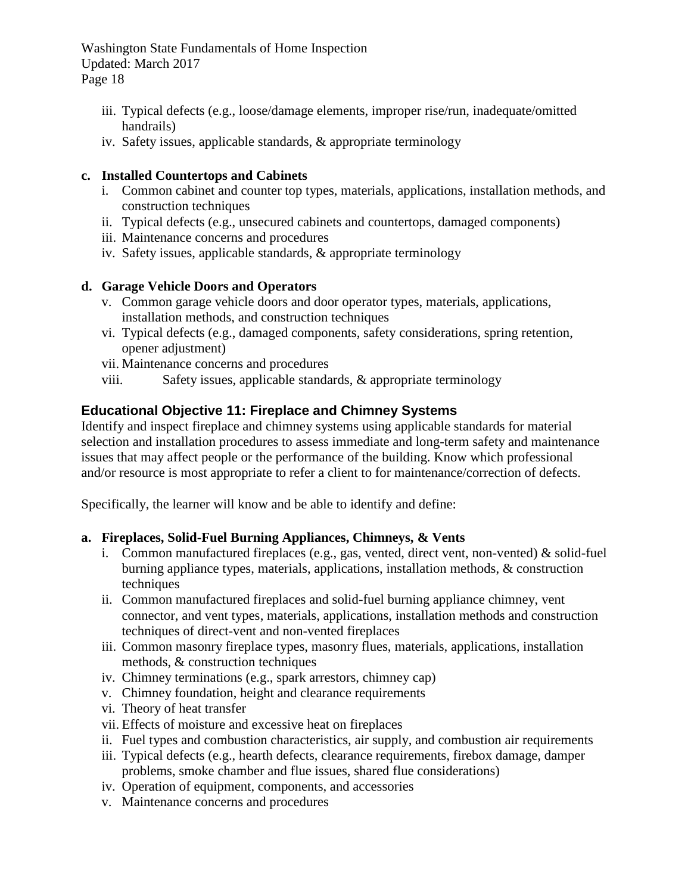- iii. Typical defects (e.g., loose/damage elements, improper rise/run, inadequate/omitted handrails)
- iv. Safety issues, applicable standards, & appropriate terminology

#### **c. Installed Countertops and Cabinets**

- i. Common cabinet and counter top types, materials, applications, installation methods, and construction techniques
- ii. Typical defects (e.g., unsecured cabinets and countertops, damaged components)
- iii. Maintenance concerns and procedures
- iv. Safety issues, applicable standards, & appropriate terminology

#### **d. Garage Vehicle Doors and Operators**

- v. Common garage vehicle doors and door operator types, materials, applications, installation methods, and construction techniques
- vi. Typical defects (e.g., damaged components, safety considerations, spring retention, opener adjustment)
- vii. Maintenance concerns and procedures
- viii. Safety issues, applicable standards, & appropriate terminology

# <span id="page-19-0"></span>**Educational Objective 11: Fireplace and Chimney Systems**

Identify and inspect fireplace and chimney systems using applicable standards for material selection and installation procedures to assess immediate and long-term safety and maintenance issues that may affect people or the performance of the building. Know which professional and/or resource is most appropriate to refer a client to for maintenance/correction of defects.

Specifically, the learner will know and be able to identify and define:

#### **a. Fireplaces, Solid-Fuel Burning Appliances, Chimneys, & Vents**

- i. Common manufactured fireplaces (e.g., gas, vented, direct vent, non-vented) & solid-fuel burning appliance types, materials, applications, installation methods, & construction techniques
- ii. Common manufactured fireplaces and solid-fuel burning appliance chimney, vent connector, and vent types, materials, applications, installation methods and construction techniques of direct-vent and non-vented fireplaces
- iii. Common masonry fireplace types, masonry flues, materials, applications, installation methods, & construction techniques
- iv. Chimney terminations (e.g., spark arrestors, chimney cap)
- v. Chimney foundation, height and clearance requirements
- vi. Theory of heat transfer
- vii. Effects of moisture and excessive heat on fireplaces
- ii. Fuel types and combustion characteristics, air supply, and combustion air requirements
- iii. Typical defects (e.g., hearth defects, clearance requirements, firebox damage, damper problems, smoke chamber and flue issues, shared flue considerations)
- iv. Operation of equipment, components, and accessories
- v. Maintenance concerns and procedures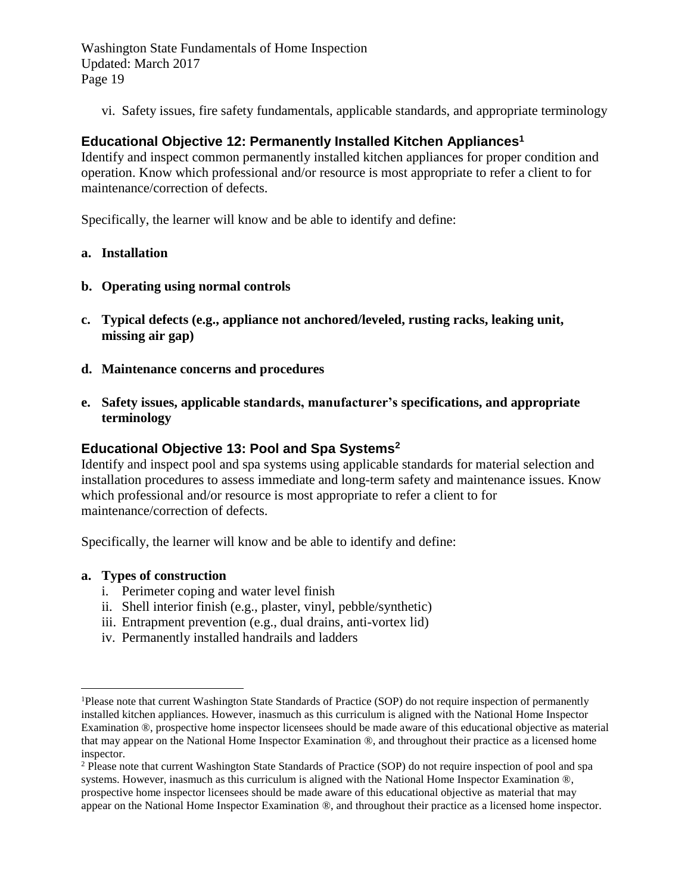vi. Safety issues, fire safety fundamentals, applicable standards, and appropriate terminology

# <span id="page-20-0"></span>**Educational Objective 12: Permanently Installed Kitchen Appliances<sup>1</sup>**

Identify and inspect common permanently installed kitchen appliances for proper condition and operation. Know which professional and/or resource is most appropriate to refer a client to for maintenance/correction of defects.

Specifically, the learner will know and be able to identify and define:

#### **a. Installation**

- **b. Operating using normal controls**
- **c. Typical defects (e.g., appliance not anchored/leveled, rusting racks, leaking unit, missing air gap)**
- **d. Maintenance concerns and procedures**
- **e. Safety issues, applicable standards, manufacturer's specifications, and appropriate terminology**

#### <span id="page-20-1"></span>**Educational Objective 13: Pool and Spa Systems<sup>2</sup>**

Identify and inspect pool and spa systems using applicable standards for material selection and installation procedures to assess immediate and long-term safety and maintenance issues. Know which professional and/or resource is most appropriate to refer a client to for maintenance/correction of defects.

Specifically, the learner will know and be able to identify and define:

#### **a. Types of construction**

 $\overline{a}$ 

- i. Perimeter coping and water level finish
- ii. Shell interior finish (e.g., plaster, vinyl, pebble/synthetic)
- iii. Entrapment prevention (e.g., dual drains, anti-vortex lid)
- iv. Permanently installed handrails and ladders

<sup>&</sup>lt;sup>1</sup>Please note that current Washington State Standards of Practice (SOP) do not require inspection of permanently installed kitchen appliances. However, inasmuch as this curriculum is aligned with the National Home Inspector Examination ®, prospective home inspector licensees should be made aware of this educational objective as material that may appear on the National Home Inspector Examination ®, and throughout their practice as a licensed home inspector.

<sup>2</sup> Please note that current Washington State Standards of Practice (SOP) do not require inspection of pool and spa systems. However, inasmuch as this curriculum is aligned with the National Home Inspector Examination ®, prospective home inspector licensees should be made aware of this educational objective as material that may appear on the National Home Inspector Examination ®, and throughout their practice as a licensed home inspector.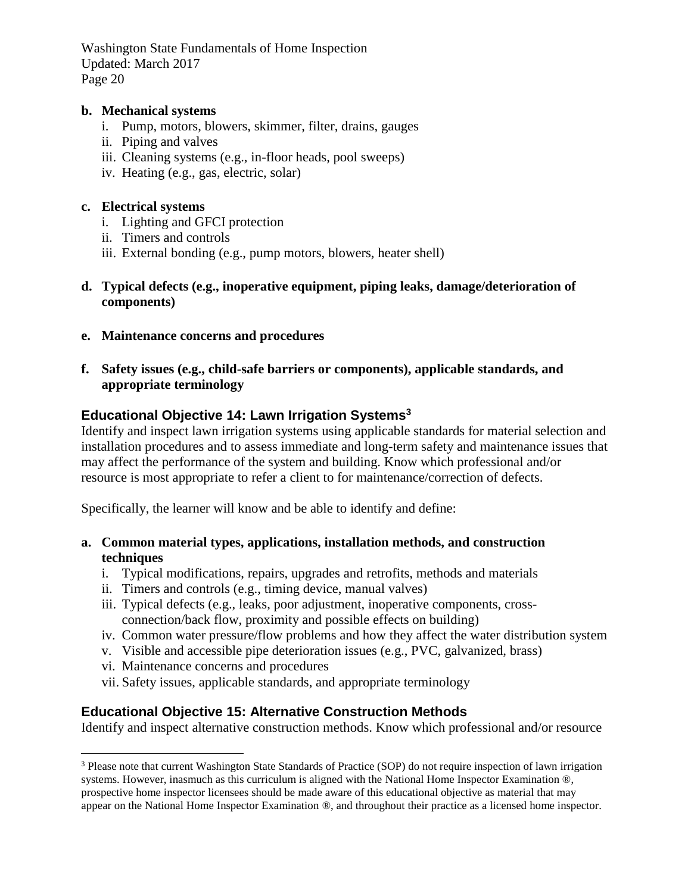#### **b. Mechanical systems**

- i. Pump, motors, blowers, skimmer, filter, drains, gauges
- ii. Piping and valves
- iii. Cleaning systems (e.g., in-floor heads, pool sweeps)
- iv. Heating (e.g., gas, electric, solar)

#### **c. Electrical systems**

- i. Lighting and GFCI protection
- ii. Timers and controls
- iii. External bonding (e.g., pump motors, blowers, heater shell)
- **d. Typical defects (e.g., inoperative equipment, piping leaks, damage/deterioration of components)**
- **e. Maintenance concerns and procedures**
- **f. Safety issues (e.g., child-safe barriers or components), applicable standards, and appropriate terminology**

# <span id="page-21-0"></span>**Educational Objective 14: Lawn Irrigation Systems<sup>3</sup>**

Identify and inspect lawn irrigation systems using applicable standards for material selection and installation procedures and to assess immediate and long-term safety and maintenance issues that may affect the performance of the system and building. Know which professional and/or resource is most appropriate to refer a client to for maintenance/correction of defects.

Specifically, the learner will know and be able to identify and define:

- **a. Common material types, applications, installation methods, and construction techniques**
	- i. Typical modifications, repairs, upgrades and retrofits, methods and materials
	- ii. Timers and controls (e.g., timing device, manual valves)
	- iii. Typical defects (e.g., leaks, poor adjustment, inoperative components, crossconnection/back flow, proximity and possible effects on building)
	- iv. Common water pressure/flow problems and how they affect the water distribution system
	- v. Visible and accessible pipe deterioration issues (e.g., PVC, galvanized, brass)
	- vi. Maintenance concerns and procedures

 $\overline{a}$ 

vii. Safety issues, applicable standards, and appropriate terminology

# <span id="page-21-1"></span>**Educational Objective 15: Alternative Construction Methods**

Identify and inspect alternative construction methods. Know which professional and/or resource

<sup>3</sup> Please note that current Washington State Standards of Practice (SOP) do not require inspection of lawn irrigation systems. However, inasmuch as this curriculum is aligned with the National Home Inspector Examination ®, prospective home inspector licensees should be made aware of this educational objective as material that may appear on the National Home Inspector Examination ®, and throughout their practice as a licensed home inspector.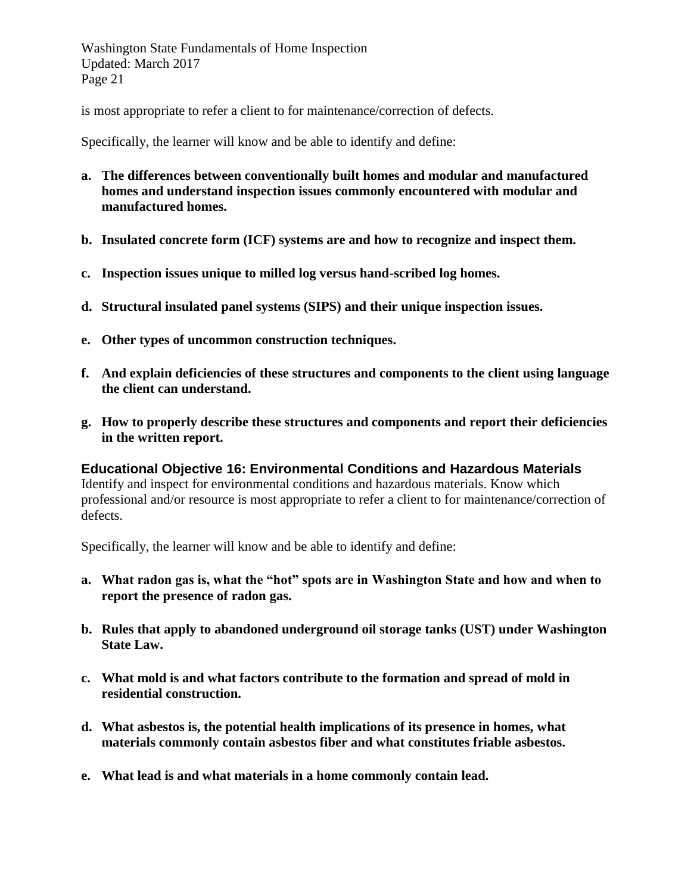is most appropriate to refer a client to for maintenance/correction of defects.

Specifically, the learner will know and be able to identify and define:

- **a. The differences between conventionally built homes and modular and manufactured homes and understand inspection issues commonly encountered with modular and manufactured homes.**
- **b. Insulated concrete form (ICF) systems are and how to recognize and inspect them.**
- **c. Inspection issues unique to milled log versus hand-scribed log homes.**
- **d. Structural insulated panel systems (SIPS) and their unique inspection issues.**
- **e. Other types of uncommon construction techniques.**
- **f. And explain deficiencies of these structures and components to the client using language the client can understand.**
- **g. How to properly describe these structures and components and report their deficiencies in the written report.**

<span id="page-22-0"></span>**Educational Objective 16: Environmental Conditions and Hazardous Materials** Identify and inspect for environmental conditions and hazardous materials. Know which professional and/or resource is most appropriate to refer a client to for maintenance/correction of defects.

Specifically, the learner will know and be able to identify and define:

- **a. What radon gas is, what the "hot" spots are in Washington State and how and when to report the presence of radon gas.**
- **b. Rules that apply to abandoned underground oil storage tanks (UST) under Washington State Law.**
- **c. What mold is and what factors contribute to the formation and spread of mold in residential construction.**
- **d. What asbestos is, the potential health implications of its presence in homes, what materials commonly contain asbestos fiber and what constitutes friable asbestos.**
- **e. What lead is and what materials in a home commonly contain lead.**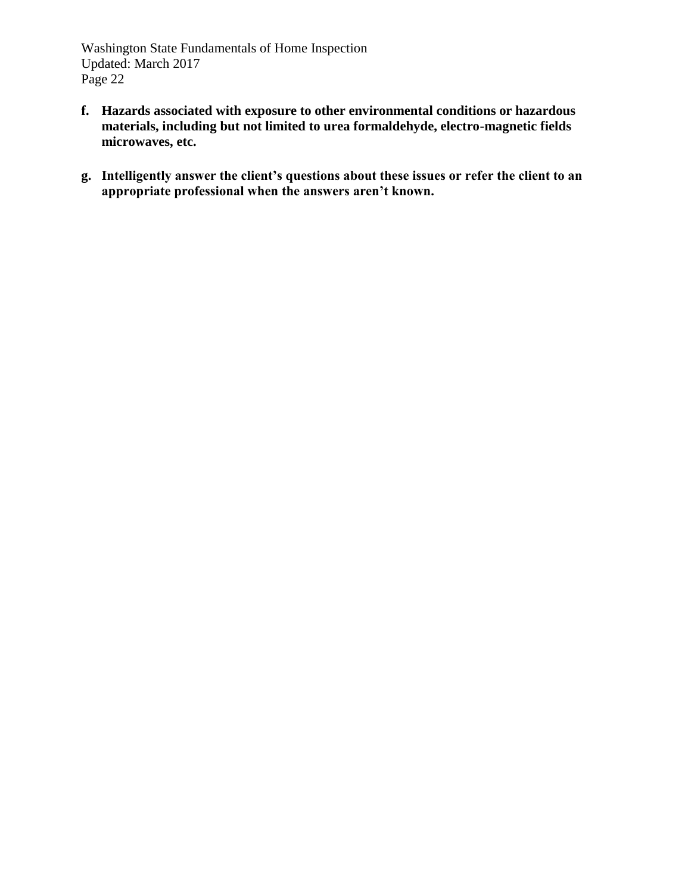- **f. Hazards associated with exposure to other environmental conditions or hazardous materials, including but not limited to urea formaldehyde, electro-magnetic fields microwaves, etc.**
- **g. Intelligently answer the client's questions about these issues or refer the client to an appropriate professional when the answers aren't known.**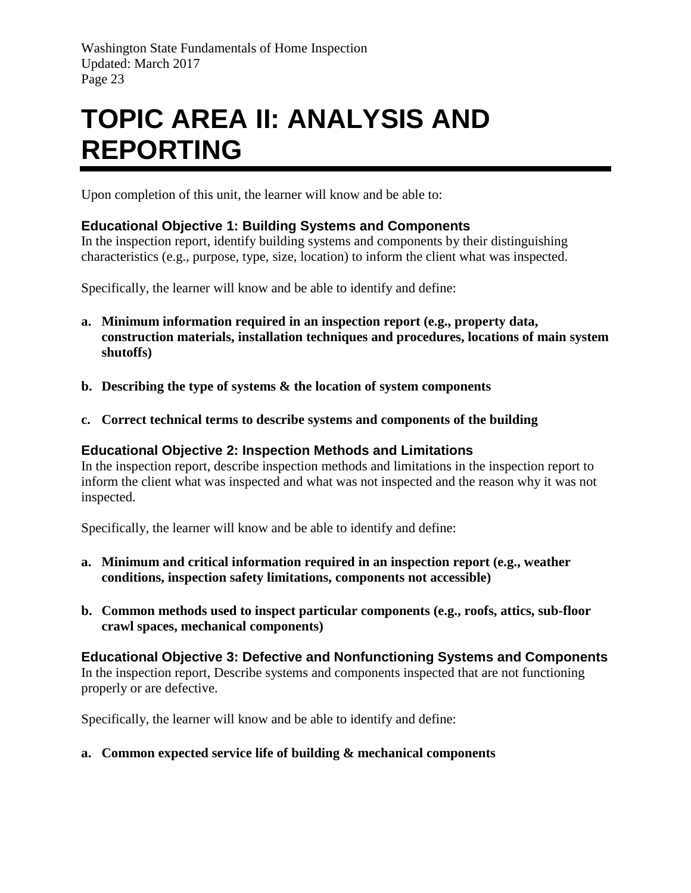# <span id="page-24-0"></span>**TOPIC AREA II: ANALYSIS AND REPORTING**

Upon completion of this unit, the learner will know and be able to:

## <span id="page-24-1"></span>**Educational Objective 1: Building Systems and Components**

In the inspection report, identify building systems and components by their distinguishing characteristics (e.g., purpose, type, size, location) to inform the client what was inspected.

Specifically, the learner will know and be able to identify and define:

- **a. Minimum information required in an inspection report (e.g., property data, construction materials, installation techniques and procedures, locations of main system shutoffs)**
- **b. Describing the type of systems & the location of system components**
- **c. Correct technical terms to describe systems and components of the building**

#### <span id="page-24-2"></span>**Educational Objective 2: Inspection Methods and Limitations**

In the inspection report, describe inspection methods and limitations in the inspection report to inform the client what was inspected and what was not inspected and the reason why it was not inspected.

Specifically, the learner will know and be able to identify and define:

- **a. Minimum and critical information required in an inspection report (e.g., weather conditions, inspection safety limitations, components not accessible)**
- **b. Common methods used to inspect particular components (e.g., roofs, attics, sub-floor crawl spaces, mechanical components)**

<span id="page-24-3"></span>**Educational Objective 3: Defective and Nonfunctioning Systems and Components** In the inspection report, Describe systems and components inspected that are not functioning properly or are defective.

Specifically, the learner will know and be able to identify and define:

#### **a. Common expected service life of building & mechanical components**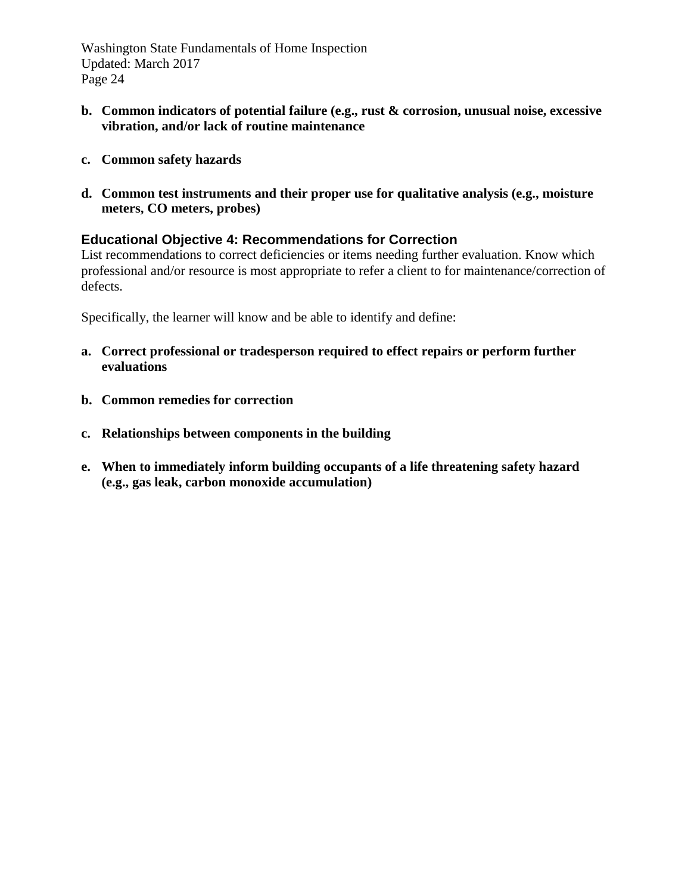- **b. Common indicators of potential failure (e.g., rust & corrosion, unusual noise, excessive vibration, and/or lack of routine maintenance**
- **c. Common safety hazards**
- **d. Common test instruments and their proper use for qualitative analysis (e.g., moisture meters, CO meters, probes)**

#### <span id="page-25-0"></span>**Educational Objective 4: Recommendations for Correction**

List recommendations to correct deficiencies or items needing further evaluation. Know which professional and/or resource is most appropriate to refer a client to for maintenance/correction of defects.

Specifically, the learner will know and be able to identify and define:

- **a. Correct professional or tradesperson required to effect repairs or perform further evaluations**
- **b. Common remedies for correction**
- **c. Relationships between components in the building**
- **e. When to immediately inform building occupants of a life threatening safety hazard (e.g., gas leak, carbon monoxide accumulation)**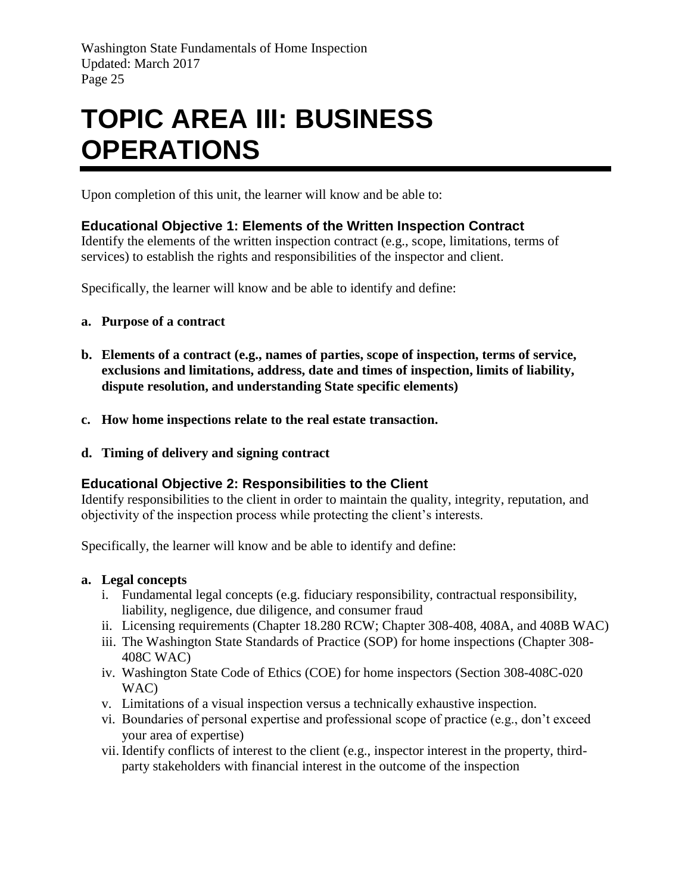# <span id="page-26-0"></span>**TOPIC AREA III: BUSINESS OPERATIONS**

Upon completion of this unit, the learner will know and be able to:

## <span id="page-26-1"></span>**Educational Objective 1: Elements of the Written Inspection Contract**

Identify the elements of the written inspection contract (e.g., scope, limitations, terms of services) to establish the rights and responsibilities of the inspector and client.

Specifically, the learner will know and be able to identify and define:

- **a. Purpose of a contract**
- **b. Elements of a contract (e.g., names of parties, scope of inspection, terms of service, exclusions and limitations, address, date and times of inspection, limits of liability, dispute resolution, and understanding State specific elements)**
- **c. How home inspections relate to the real estate transaction.**
- **d. Timing of delivery and signing contract**

#### <span id="page-26-2"></span>**Educational Objective 2: Responsibilities to the Client**

Identify responsibilities to the client in order to maintain the quality, integrity, reputation, and objectivity of the inspection process while protecting the client's interests.

Specifically, the learner will know and be able to identify and define:

#### **a. Legal concepts**

- i. Fundamental legal concepts (e.g. fiduciary responsibility, contractual responsibility, liability, negligence, due diligence, and consumer fraud
- ii. Licensing requirements (Chapter 18.280 RCW; Chapter 308-408, 408A, and 408B WAC)
- iii. The Washington State Standards of Practice (SOP) for home inspections (Chapter 308- 408C WAC)
- iv. Washington State Code of Ethics (COE) for home inspectors (Section 308-408C-020 WAC)
- v. Limitations of a visual inspection versus a technically exhaustive inspection.
- vi. Boundaries of personal expertise and professional scope of practice (e.g., don't exceed your area of expertise)
- vii. Identify conflicts of interest to the client (e.g., inspector interest in the property, thirdparty stakeholders with financial interest in the outcome of the inspection